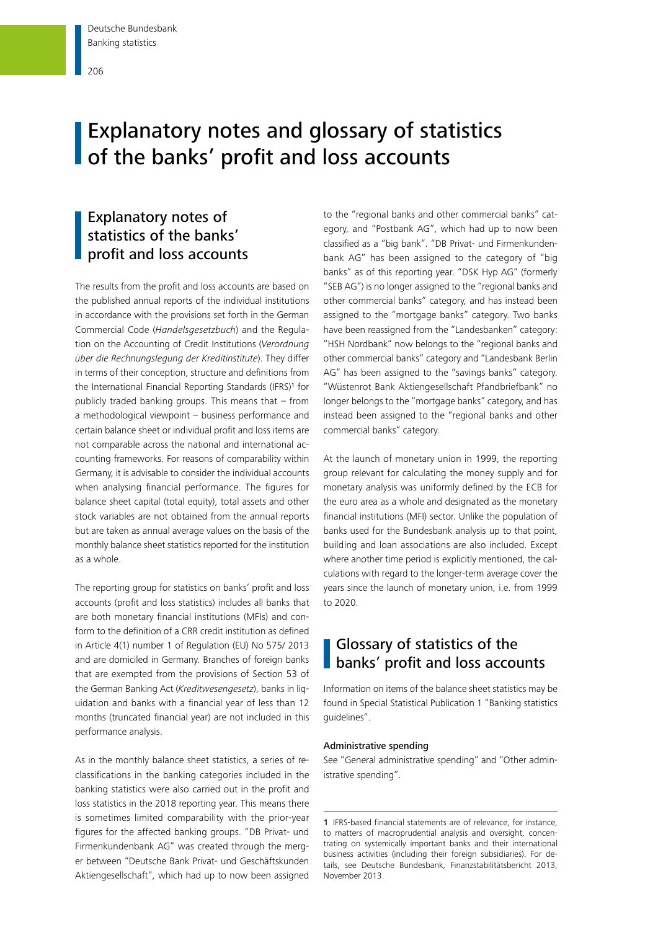# **Explanatory notes and glossary of statistics of the banks' profit and loss accounts**

# Explanatory notes of statistics of the banks' profit and loss accounts

The results from the profit and loss accounts are based on the published annual reports of the individual institutions in accordance with the provisions set forth in the German Commercial Code (*Handelsgesetzbuch*) and the Regulation on the Accounting of Credit Institutions (*Verordnung über die Rechnungslegung der Kreditinstitute*). They differ in terms of their conception, structure and definitions from the International Financial Reporting Standards (IFRS)<sup>1</sup> for publicly traded banking groups. This means that – from a methodological viewpoint – business performance and certain balance sheet or individual profit and loss items are not comparable across the national and international accounting frameworks. For reasons of comparability within Germany, it is advisable to consider the individual accounts when analysing financial performance. The figures for balance sheet capital (total equity), total assets and other stock variables are not obtained from the annual reports but are taken as annual average values on the basis of the monthly balance sheet statistics reported for the institution as a whole.

The reporting group for statistics on banks' profit and loss accounts (profit and loss statistics) includes all banks that are both monetary financial institutions (MFIs) and conform to the definition of a CRR credit institution as defined in Article 4(1) number 1 of Regulation (EU) No 575/ 2013 and are domiciled in Germany. Branches of foreign banks that are exempted from the provisions of Section 53 of the German Banking Act (*Kreditwesengesetz*), banks in liquidation and banks with a financial year of less than 12 months (truncated financial year) are not included in this performance analysis.

As in the monthly balance sheet statistics, a series of reclassifications in the banking categories included in the banking statistics were also carried out in the profit and loss statistics in the 2018 reporting year. This means there is sometimes limited comparability with the prior-year figures for the affected banking groups. "DB Privat- und Firmenkundenbank AG" was created through the merger between "Deutsche Bank Privat- und Geschäftskunden Aktiengesellschaft", which had up to now been assigned to the "regional banks and other commercial banks" category, and "Postbank AG", which had up to now been classified as a "big bank". "DB Privat- und Firmenkundenbank AG" has been assigned to the category of "big banks" as of this reporting year. "DSK Hyp AG" (formerly "SEB AG") is no longer assigned to the "regional banks and other commercial banks" category, and has instead been assigned to the "mortgage banks" category. Two banks have been reassigned from the "Landesbanken" category: "HSH Nordbank" now belongs to the "regional banks and other commercial banks" category and "Landesbank Berlin AG" has been assigned to the "savings banks" category. "Wüstenrot Bank Aktiengesellschaft Pfandbriefbank" no longer belongs to the "mortgage banks" category, and has instead been assigned to the "regional banks and other commercial banks" category.

At the launch of monetary union in 1999, the reporting group relevant for calculating the money supply and for monetary analysis was uniformly defined by the ECB for the euro area as a whole and designated as the monetary financial institutions (MFI) sector. Unlike the population of banks used for the Bundesbank analysis up to that point, building and loan associations are also included. Except where another time period is explicitly mentioned, the calculations with regard to the longer-term average cover the years since the launch of monetary union, i.e. from 1999 to 2020.

# Glossary of statistics of the **banks' profit and loss accounts**

Information on items of the balance sheet statistics may be found in Special Statistical Publication 1 "Banking statistics guidelines".

#### Administrative spending

See "General administrative spending" and "Other administrative spending".

1 IFRS-based financial statements are of relevance, for instance, to matters of macroprudential analysis and oversight, concentrating on systemically important banks and their international business activities (including their foreign subsidiaries). For details, see Deutsche Bundesbank, Finanzstabilitätsbericht 2013, November 2013.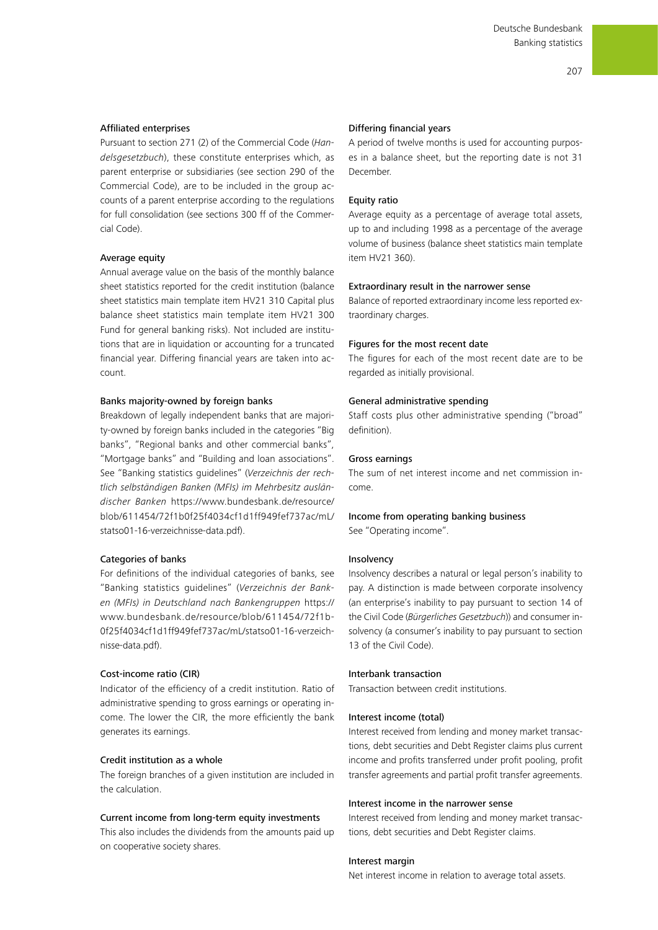# Affiliated enterprises

Pursuant to section 271 (2) of the Commercial Code (*Handelsgesetzbuch*), these constitute enterprises which, as parent enterprise or subsidiaries (see section 290 of the Commercial Code), are to be included in the group accounts of a parent enterprise according to the regulations for full consolidation (see sections 300 ff of the Commercial Code).

#### Average equity

Annual average value on the basis of the monthly balance sheet statistics reported for the credit institution (balance sheet statistics main template item HV21 310 Capital plus balance sheet statistics main template item HV21 300 Fund for general banking risks). Not included are institutions that are in liquidation or accounting for a truncated financial year. Differing financial years are taken into account.

#### Banks majority-owned by foreign banks

Breakdown of legally independent banks that are majority-owned by foreign banks included in the categories "Big banks", "Regional banks and other commercial banks", "Mortgage banks" and "Building and loan associations". See "Banking statistics guidelines" (*Verzeichnis der rechtlich selbständigen Banken (MFIs) im Mehrbesitz ausländischer Banken* [https://www.bundesbank.de/resource/](https://www.bundesbank.de/resource/blob/611454/72f1b0f25f4034cf1d1ff949fef737ac/mL/statso01-16-verzeichnisse-data.pdf) [blob/611454/72f1b0f25f4034cf1d1ff949fef737ac/mL/](https://www.bundesbank.de/resource/blob/611454/72f1b0f25f4034cf1d1ff949fef737ac/mL/statso01-16-verzeichnisse-data.pdf) [statso01-16-verzeichnisse-data.pdf](https://www.bundesbank.de/resource/blob/611454/72f1b0f25f4034cf1d1ff949fef737ac/mL/statso01-16-verzeichnisse-data.pdf)).

### Categories of banks

For definitions of the individual categories of banks, see "Banking statistics guidelines" (*Verzeichnis der Banken (MFIs) in Deutschland nach Bankengruppen* [https://](https://www.bundesbank.de/resource/blob/611454/72f1b0f25f4034cf1d1ff949fef737ac/mL/statso01-16-verzeichnisse-data.pdf) [www.bundesbank.de/resource/blob/611454/72f1b-](https://www.bundesbank.de/resource/blob/611454/72f1b0f25f4034cf1d1ff949fef737ac/mL/statso01-16-verzeichnisse-data.pdf)[0f25f4034cf1d1ff949fef737ac/mL/statso01-16-verzeich](https://www.bundesbank.de/resource/blob/611454/72f1b0f25f4034cf1d1ff949fef737ac/mL/statso01-16-verzeichnisse-data.pdf)[nisse-data.pdf\)](https://www.bundesbank.de/resource/blob/611454/72f1b0f25f4034cf1d1ff949fef737ac/mL/statso01-16-verzeichnisse-data.pdf).

# Cost-income ratio (CIR)

Indicator of the efficiency of a credit institution. Ratio of administrative spending to gross earnings or operating income. The lower the CIR, the more efficiently the bank generates its earnings.

# Credit institution as a whole

The foreign branches of a given institution are included in the calculation.

#### Current income from long-term equity investments

This also includes the dividends from the amounts paid up on cooperative society shares.

#### Differing financial years

A period of twelve months is used for accounting purposes in a balance sheet, but the reporting date is not 31 December.

### Equity ratio

Average equity as a percentage of average total assets, up to and including 1998 as a percentage of the average volume of business (balance sheet statistics main template item HV21 360).

#### Extraordinary result in the narrower sense

Balance of reported extraordinary income less reported extraordinary charges.

#### Figures for the most recent date

The figures for each of the most recent date are to be regarded as initially provisional.

#### General administrative spending

Staff costs plus other administrative spending ("broad" definition).

#### Gross earnings

The sum of net interest income and net commission income.

# Income from operating banking business

See "Operating income".

#### **Insolvency**

Insolvency describes a natural or legal person's inability to pay. A distinction is made between corporate insolvency (an enterprise's inability to pay pursuant to section 14 of the Civil Code (*Bürgerliches Gesetzbuch*)) and consumer insolvency (a consumer's inability to pay pursuant to section 13 of the Civil Code).

# Interbank transaction

Transaction between credit institutions.

#### Interest income (total)

Interest received from lending and money market transactions, debt securities and Debt Register claims plus current income and profits transferred under profit pooling, profit transfer agreements and partial profit transfer agreements.

#### Interest income in the narrower sense

Interest received from lending and money market transactions, debt securities and Debt Register claims.

#### Interest margin

Net interest income in relation to average total assets.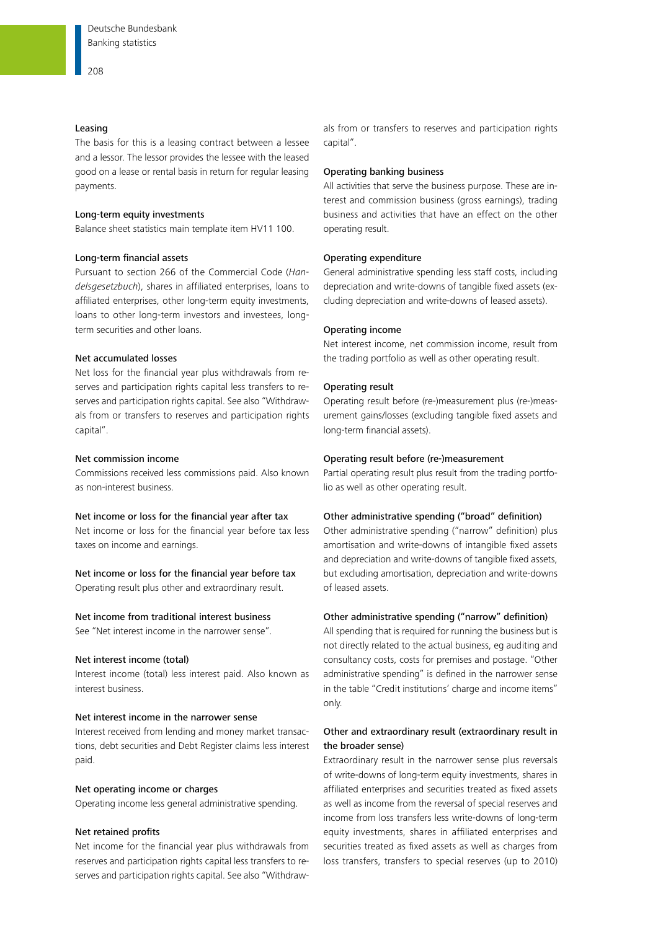#### Leasing

The basis for this is a leasing contract between a lessee and a lessor. The lessor provides the lessee with the leased good on a lease or rental basis in return for regular leasing payments.

#### Long-term equity investments

Balance sheet statistics main template item HV11 100.

# Long-term financial assets

Pursuant to section 266 of the Commercial Code (*Handelsgesetzbuch*), shares in affiliated enterprises, loans to affiliated enterprises, other long-term equity investments, loans to other long-term investors and investees, longterm securities and other loans.

# Net accumulated losses

Net loss for the financial year plus withdrawals from reserves and participation rights capital less transfers to reserves and participation rights capital. See also "Withdrawals from or transfers to reserves and participation rights capital".

#### Net commission income

Commissions received less commissions paid. Also known as non-interest business.

# Net income or loss for the financial year after tax

Net income or loss for the financial year before tax less taxes on income and earnings.

Net income or loss for the financial year before tax Operating result plus other and extraordinary result.

# Net income from traditional interest business

See "Net interest income in the narrower sense".

# Net interest income (total)

Interest income (total) less interest paid. Also known as interest business.

# Net interest income in the narrower sense

Interest received from lending and money market transactions, debt securities and Debt Register claims less interest paid.

### Net operating income or charges

Operating income less general administrative spending.

# Net retained profits

Net income for the financial year plus withdrawals from reserves and participation rights capital less transfers to reserves and participation rights capital. See also "Withdrawals from or transfers to reserves and participation rights capital".

#### Operating banking business

All activities that serve the business purpose. These are interest and commission business (gross earnings), trading business and activities that have an effect on the other operating result.

#### Operating expenditure

General administrative spending less staff costs, including depreciation and write-downs of tangible fixed assets (excluding depreciation and write-downs of leased assets).

# Operating income

Net interest income, net commission income, result from the trading portfolio as well as other operating result.

#### Operating result

Operating result before (re-)measurement plus (re-)measurement gains/losses (excluding tangible fixed assets and long-term financial assets).

#### Operating result before (re-)measurement

Partial operating result plus result from the trading portfolio as well as other operating result.

# Other administrative spending ("broad" definition)

Other administrative spending ("narrow" definition) plus amortisation and write-downs of intangible fixed assets and depreciation and write-downs of tangible fixed assets, but excluding amortisation, depreciation and write-downs of leased assets.

# Other administrative spending ("narrow" definition)

All spending that is required for running the business but is not directly related to the actual business, eg auditing and consultancy costs, costs for premises and postage. "Other administrative spending" is defined in the narrower sense in the table "Credit institutions' charge and income items" only.

# Other and extraordinary result (extraordinary result in the broader sense)

Extraordinary result in the narrower sense plus reversals of write-downs of long-term equity investments, shares in affiliated enterprises and securities treated as fixed assets as well as income from the reversal of special reserves and income from loss transfers less write-downs of long-term equity investments, shares in affiliated enterprises and securities treated as fixed assets as well as charges from loss transfers, transfers to special reserves (up to 2010)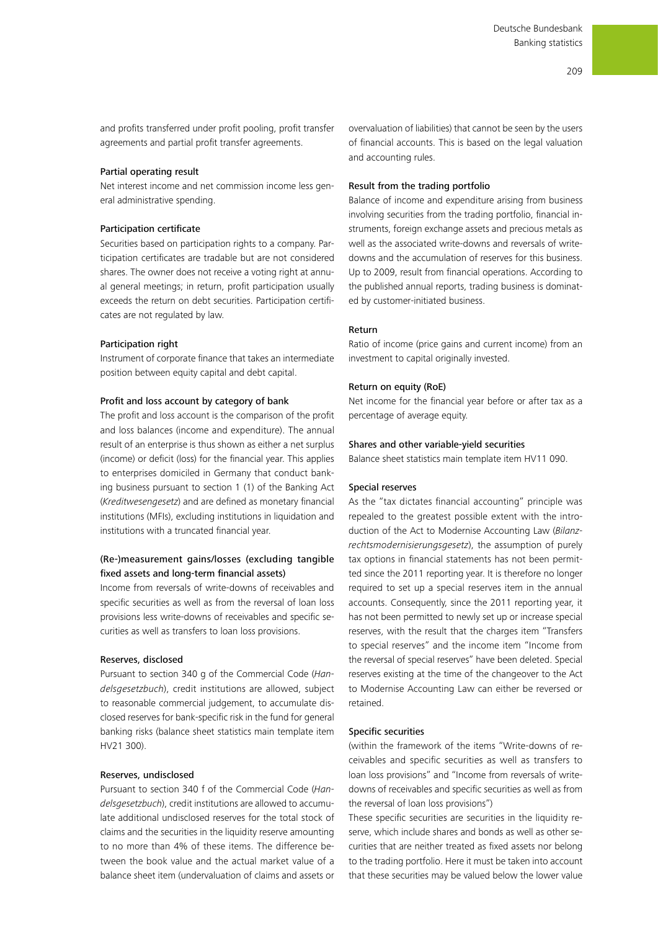and profits transferred under profit pooling, profit transfer agreements and partial profit transfer agreements.

# Partial operating result

Net interest income and net commission income less general administrative spending.

#### Participation certificate

Securities based on participation rights to a company. Participation certificates are tradable but are not considered shares. The owner does not receive a voting right at annual general meetings; in return, profit participation usually exceeds the return on debt securities. Participation certificates are not regulated by law.

#### Participation right

Instrument of corporate finance that takes an intermediate position between equity capital and debt capital.

#### Profit and loss account by category of bank

The profit and loss account is the comparison of the profit and loss balances (income and expenditure). The annual result of an enterprise is thus shown as either a net surplus (income) or deficit (loss) for the financial year. This applies to enterprises domiciled in Germany that conduct banking business pursuant to section 1 (1) of the Banking Act (*Kreditwesengesetz*) and are defined as monetary financial institutions (MFIs), excluding institutions in liquidation and institutions with a truncated financial year.

# (Re-)measurement gains/losses (excluding tangible fixed assets and long-term financial assets)

Income from reversals of write-downs of receivables and specific securities as well as from the reversal of loan loss provisions less write-downs of receivables and specific securities as well as transfers to loan loss provisions.

# Reserves, disclosed

Pursuant to section 340 g of the Commercial Code (*Handelsgesetzbuch*), credit institutions are allowed, subject to reasonable commercial judgement, to accumulate disclosed reserves for bank-specific risk in the fund for general banking risks (balance sheet statistics main template item HV21 300).

#### Reserves, undisclosed

Pursuant to section 340 f of the Commercial Code (*Handelsgesetzbuch*), credit institutions are allowed to accumulate additional undisclosed reserves for the total stock of claims and the securities in the liquidity reserve amounting to no more than 4% of these items. The difference between the book value and the actual market value of a balance sheet item (undervaluation of claims and assets or overvaluation of liabilities) that cannot be seen by the users of financial accounts. This is based on the legal valuation and accounting rules.

# Result from the trading portfolio

Balance of income and expenditure arising from business involving securities from the trading portfolio, financial instruments, foreign exchange assets and precious metals as well as the associated write-downs and reversals of writedowns and the accumulation of reserves for this business. Up to 2009, result from financial operations. According to the published annual reports, trading business is dominated by customer-initiated business.

# Return

Ratio of income (price gains and current income) from an investment to capital originally invested.

#### Return on equity (RoE)

Net income for the financial year before or after tax as a percentage of average equity.

#### Shares and other variable-yield securities

Balance sheet statistics main template item HV11 090.

# Special reserves

As the "tax dictates financial accounting" principle was repealed to the greatest possible extent with the introduction of the Act to Modernise Accounting Law (*Bilanzrechtsmodernisierungsgesetz*), the assumption of purely tax options in financial statements has not been permitted since the 2011 reporting year. It is therefore no longer required to set up a special reserves item in the annual accounts. Consequently, since the 2011 reporting year, it has not been permitted to newly set up or increase special reserves, with the result that the charges item "Transfers to special reserves" and the income item "Income from the reversal of special reserves" have been deleted. Special reserves existing at the time of the changeover to the Act to Modernise Accounting Law can either be reversed or retained.

# Specific securities

(within the framework of the items "Write-downs of receivables and specific securities as well as transfers to loan loss provisions" and "Income from reversals of writedowns of receivables and specific securities as well as from the reversal of loan loss provisions")

These specific securities are securities in the liquidity reserve, which include shares and bonds as well as other securities that are neither treated as fixed assets nor belong to the trading portfolio. Here it must be taken into account that these securities may be valued below the lower value